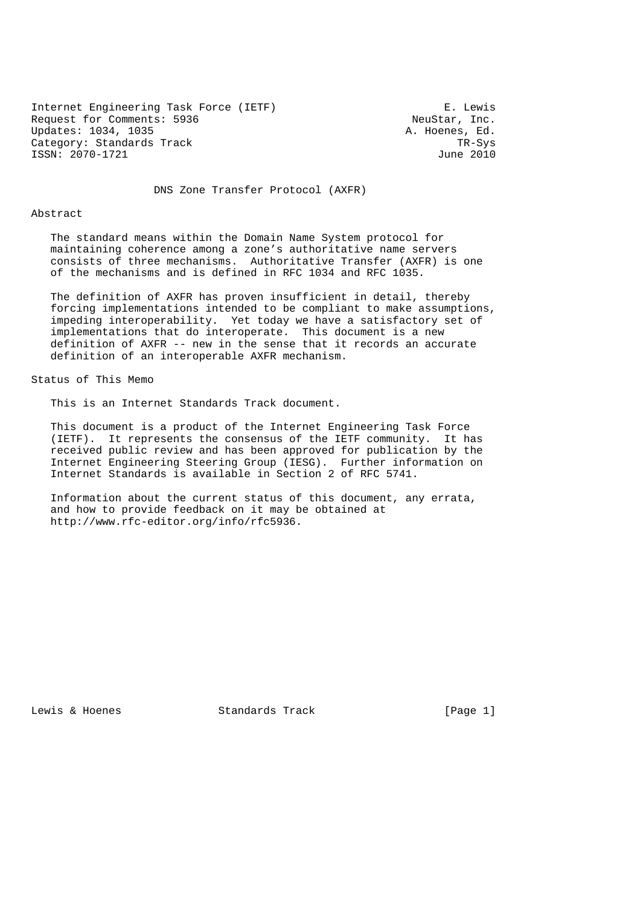Internet Engineering Task Force (IETF) E. Lewis<br>Request for Comments: 5936 Force (IETF) Request for Comments: 5936 Request for Comments: 5936 NeuStar, Inc.<br>Updates: 1034, 1035 A. Hoenes, Ed. Updates: 1034, 1035<br>Category: Standards Track Category: Standards Track Category: Standards Track ISSN: 2070-1721 June 2010

DNS Zone Transfer Protocol (AXFR)

#### Abstract

 The standard means within the Domain Name System protocol for maintaining coherence among a zone's authoritative name servers consists of three mechanisms. Authoritative Transfer (AXFR) is one of the mechanisms and is defined in RFC 1034 and RFC 1035.

 The definition of AXFR has proven insufficient in detail, thereby forcing implementations intended to be compliant to make assumptions, impeding interoperability. Yet today we have a satisfactory set of implementations that do interoperate. This document is a new definition of AXFR -- new in the sense that it records an accurate definition of an interoperable AXFR mechanism.

# Status of This Memo

This is an Internet Standards Track document.

 This document is a product of the Internet Engineering Task Force (IETF). It represents the consensus of the IETF community. It has received public review and has been approved for publication by the Internet Engineering Steering Group (IESG). Further information on Internet Standards is available in Section 2 of RFC 5741.

 Information about the current status of this document, any errata, and how to provide feedback on it may be obtained at http://www.rfc-editor.org/info/rfc5936.

Lewis & Hoenes 6 and Standards Track [Page 1]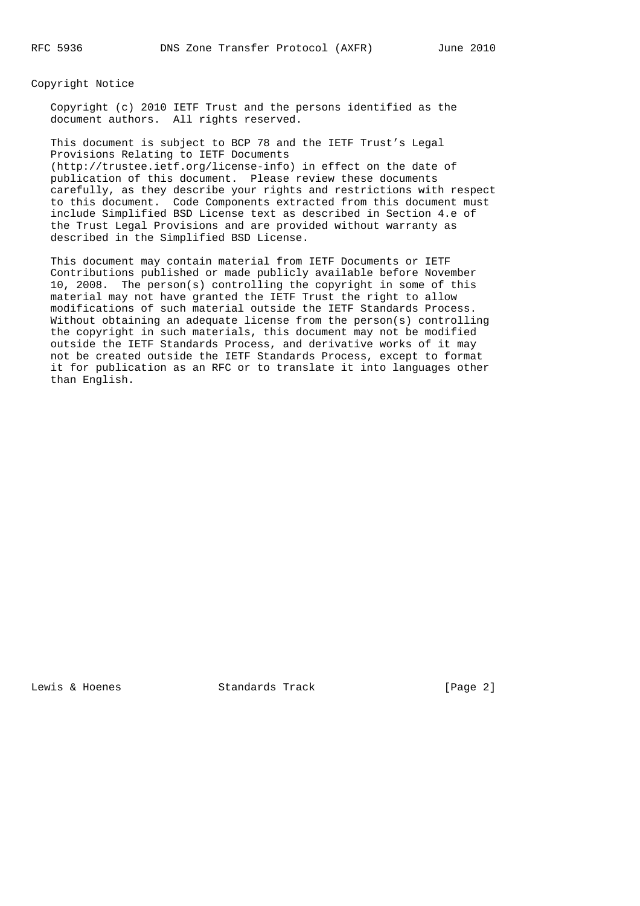Copyright Notice

 Copyright (c) 2010 IETF Trust and the persons identified as the document authors. All rights reserved.

 This document is subject to BCP 78 and the IETF Trust's Legal Provisions Relating to IETF Documents (http://trustee.ietf.org/license-info) in effect on the date of publication of this document. Please review these documents carefully, as they describe your rights and restrictions with respect to this document. Code Components extracted from this document must include Simplified BSD License text as described in Section 4.e of the Trust Legal Provisions and are provided without warranty as described in the Simplified BSD License.

 This document may contain material from IETF Documents or IETF Contributions published or made publicly available before November 10, 2008. The person(s) controlling the copyright in some of this material may not have granted the IETF Trust the right to allow modifications of such material outside the IETF Standards Process. Without obtaining an adequate license from the person(s) controlling the copyright in such materials, this document may not be modified outside the IETF Standards Process, and derivative works of it may not be created outside the IETF Standards Process, except to format it for publication as an RFC or to translate it into languages other than English.

Lewis & Hoenes **Standards Track** [Page 2]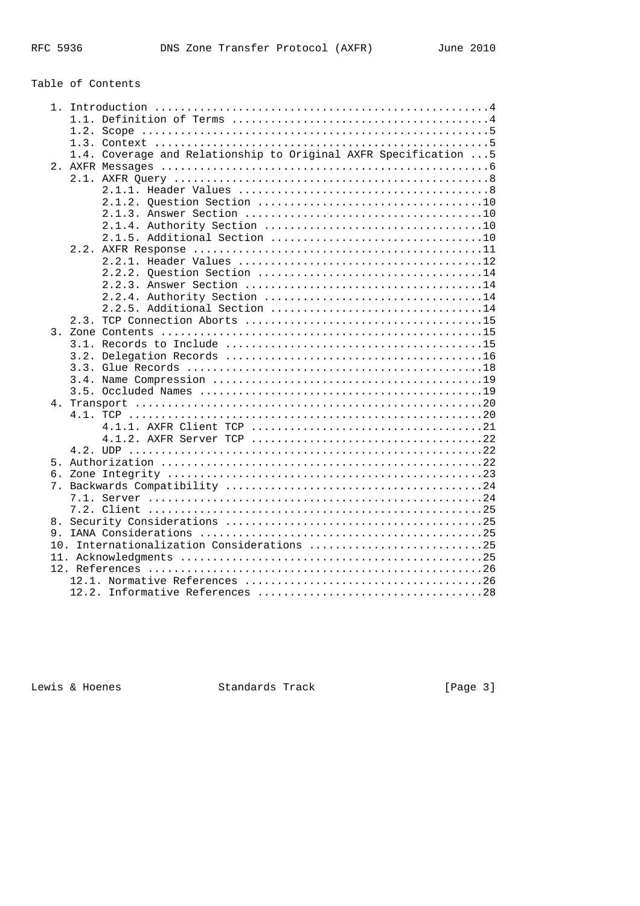# Table of Contents

|    | 1.4. Coverage and Relationship to Original AXFR Specification  5 |
|----|------------------------------------------------------------------|
|    |                                                                  |
|    |                                                                  |
|    |                                                                  |
|    |                                                                  |
|    |                                                                  |
|    |                                                                  |
|    |                                                                  |
|    |                                                                  |
|    |                                                                  |
|    |                                                                  |
|    |                                                                  |
|    | 2.2.4. Authority Section 14                                      |
|    | 2.2.5. Additional Section 14                                     |
|    |                                                                  |
|    |                                                                  |
|    |                                                                  |
|    |                                                                  |
|    |                                                                  |
|    |                                                                  |
|    |                                                                  |
|    |                                                                  |
|    |                                                                  |
|    |                                                                  |
|    |                                                                  |
|    |                                                                  |
|    |                                                                  |
|    |                                                                  |
|    |                                                                  |
|    |                                                                  |
|    |                                                                  |
|    |                                                                  |
| 9. |                                                                  |
|    | 10. Internationalization Considerations 25                       |
|    |                                                                  |
|    |                                                                  |
|    |                                                                  |
|    |                                                                  |
|    |                                                                  |

Lewis & Hoenes Standards Track [Page 3]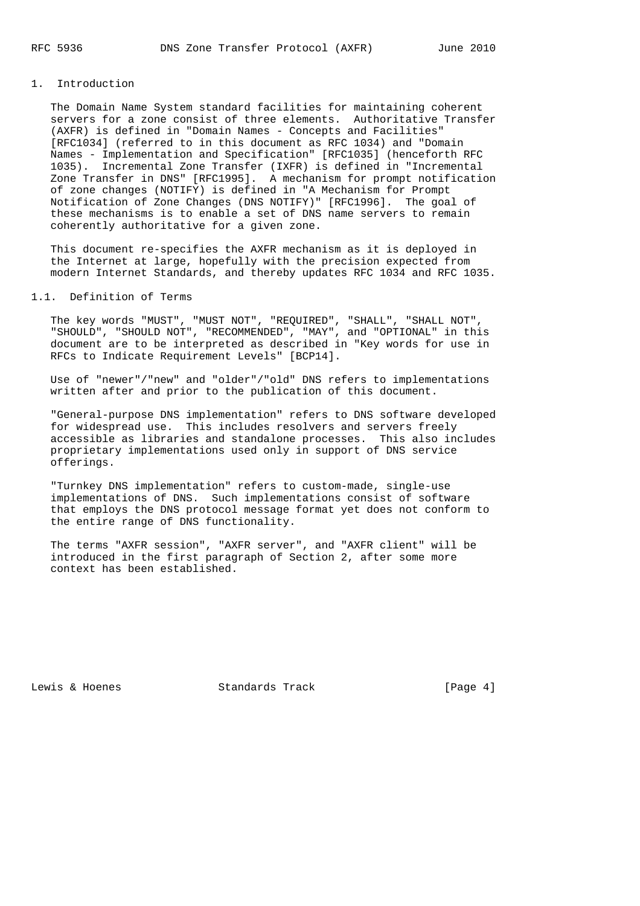# 1. Introduction

 The Domain Name System standard facilities for maintaining coherent servers for a zone consist of three elements. Authoritative Transfer (AXFR) is defined in "Domain Names - Concepts and Facilities" [RFC1034] (referred to in this document as RFC 1034) and "Domain Names - Implementation and Specification" [RFC1035] (henceforth RFC 1035). Incremental Zone Transfer (IXFR) is defined in "Incremental Zone Transfer in DNS" [RFC1995]. A mechanism for prompt notification of zone changes (NOTIFY) is defined in "A Mechanism for Prompt Notification of Zone Changes (DNS NOTIFY)" [RFC1996]. The goal of these mechanisms is to enable a set of DNS name servers to remain coherently authoritative for a given zone.

 This document re-specifies the AXFR mechanism as it is deployed in the Internet at large, hopefully with the precision expected from modern Internet Standards, and thereby updates RFC 1034 and RFC 1035.

# 1.1. Definition of Terms

 The key words "MUST", "MUST NOT", "REQUIRED", "SHALL", "SHALL NOT", "SHOULD", "SHOULD NOT", "RECOMMENDED", "MAY", and "OPTIONAL" in this document are to be interpreted as described in "Key words for use in RFCs to Indicate Requirement Levels" [BCP14].

 Use of "newer"/"new" and "older"/"old" DNS refers to implementations written after and prior to the publication of this document.

 "General-purpose DNS implementation" refers to DNS software developed for widespread use. This includes resolvers and servers freely accessible as libraries and standalone processes. This also includes proprietary implementations used only in support of DNS service offerings.

 "Turnkey DNS implementation" refers to custom-made, single-use implementations of DNS. Such implementations consist of software that employs the DNS protocol message format yet does not conform to the entire range of DNS functionality.

 The terms "AXFR session", "AXFR server", and "AXFR client" will be introduced in the first paragraph of Section 2, after some more context has been established.

Lewis & Hoenes Standards Track [Page 4]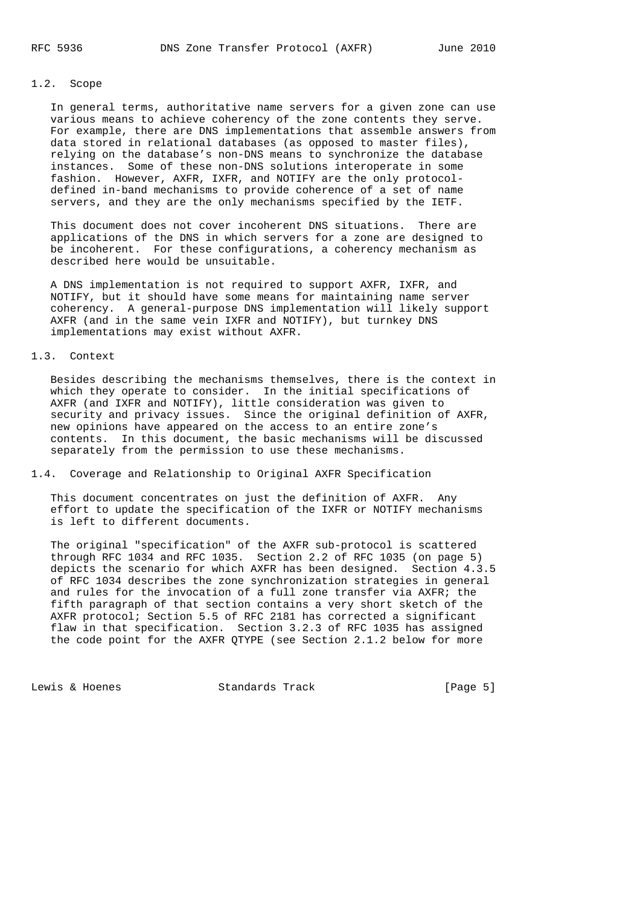# 1.2. Scope

 In general terms, authoritative name servers for a given zone can use various means to achieve coherency of the zone contents they serve. For example, there are DNS implementations that assemble answers from data stored in relational databases (as opposed to master files), relying on the database's non-DNS means to synchronize the database instances. Some of these non-DNS solutions interoperate in some fashion. However, AXFR, IXFR, and NOTIFY are the only protocol defined in-band mechanisms to provide coherence of a set of name servers, and they are the only mechanisms specified by the IETF.

 This document does not cover incoherent DNS situations. There are applications of the DNS in which servers for a zone are designed to be incoherent. For these configurations, a coherency mechanism as described here would be unsuitable.

 A DNS implementation is not required to support AXFR, IXFR, and NOTIFY, but it should have some means for maintaining name server coherency. A general-purpose DNS implementation will likely support AXFR (and in the same vein IXFR and NOTIFY), but turnkey DNS implementations may exist without AXFR.

1.3. Context

 Besides describing the mechanisms themselves, there is the context in which they operate to consider. In the initial specifications of AXFR (and IXFR and NOTIFY), little consideration was given to security and privacy issues. Since the original definition of AXFR, new opinions have appeared on the access to an entire zone's contents. In this document, the basic mechanisms will be discussed separately from the permission to use these mechanisms.

1.4. Coverage and Relationship to Original AXFR Specification

 This document concentrates on just the definition of AXFR. Any effort to update the specification of the IXFR or NOTIFY mechanisms is left to different documents.

 The original "specification" of the AXFR sub-protocol is scattered through RFC 1034 and RFC 1035. Section 2.2 of RFC 1035 (on page 5) depicts the scenario for which AXFR has been designed. Section 4.3.5 of RFC 1034 describes the zone synchronization strategies in general and rules for the invocation of a full zone transfer via AXFR; the fifth paragraph of that section contains a very short sketch of the AXFR protocol; Section 5.5 of RFC 2181 has corrected a significant flaw in that specification. Section 3.2.3 of RFC 1035 has assigned the code point for the AXFR QTYPE (see Section 2.1.2 below for more

Lewis & Hoenes Standards Track [Page 5]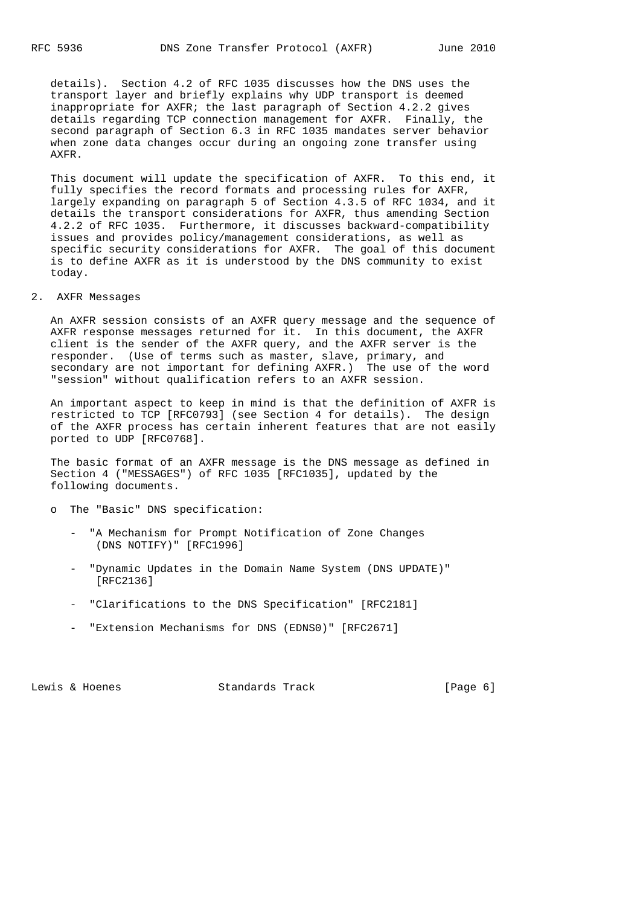details). Section 4.2 of RFC 1035 discusses how the DNS uses the transport layer and briefly explains why UDP transport is deemed inappropriate for AXFR; the last paragraph of Section 4.2.2 gives details regarding TCP connection management for AXFR. Finally, the second paragraph of Section 6.3 in RFC 1035 mandates server behavior when zone data changes occur during an ongoing zone transfer using AXFR.

 This document will update the specification of AXFR. To this end, it fully specifies the record formats and processing rules for AXFR, largely expanding on paragraph 5 of Section 4.3.5 of RFC 1034, and it details the transport considerations for AXFR, thus amending Section 4.2.2 of RFC 1035. Furthermore, it discusses backward-compatibility issues and provides policy/management considerations, as well as specific security considerations for AXFR. The goal of this document is to define AXFR as it is understood by the DNS community to exist today.

# 2. AXFR Messages

 An AXFR session consists of an AXFR query message and the sequence of AXFR response messages returned for it. In this document, the AXFR client is the sender of the AXFR query, and the AXFR server is the responder. (Use of terms such as master, slave, primary, and secondary are not important for defining AXFR.) The use of the word "session" without qualification refers to an AXFR session.

 An important aspect to keep in mind is that the definition of AXFR is restricted to TCP [RFC0793] (see Section 4 for details). The design of the AXFR process has certain inherent features that are not easily ported to UDP [RFC0768].

 The basic format of an AXFR message is the DNS message as defined in Section 4 ("MESSAGES") of RFC 1035 [RFC1035], updated by the following documents.

o The "Basic" DNS specification:

- "A Mechanism for Prompt Notification of Zone Changes (DNS NOTIFY)" [RFC1996]
- "Dynamic Updates in the Domain Name System (DNS UPDATE)" [RFC2136]
- "Clarifications to the DNS Specification" [RFC2181]
- "Extension Mechanisms for DNS (EDNS0)" [RFC2671]

Lewis & Hoenes Standards Track [Page 6]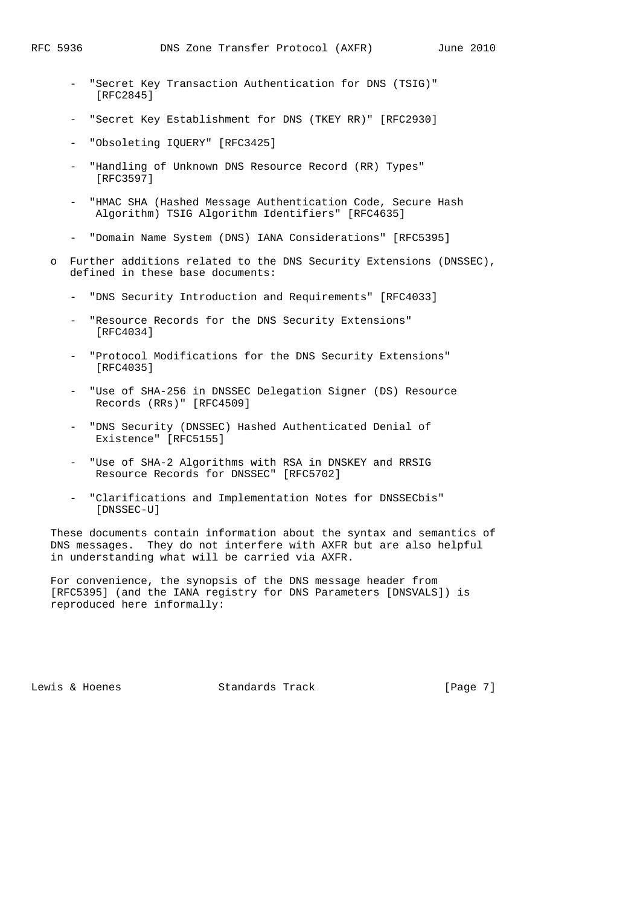- "Secret Key Transaction Authentication for DNS (TSIG)" [RFC2845]
- "Secret Key Establishment for DNS (TKEY RR)" [RFC2930]
- "Obsoleting IQUERY" [RFC3425]
- "Handling of Unknown DNS Resource Record (RR) Types" [RFC3597]
- "HMAC SHA (Hashed Message Authentication Code, Secure Hash Algorithm) TSIG Algorithm Identifiers" [RFC4635]
- "Domain Name System (DNS) IANA Considerations" [RFC5395]
- o Further additions related to the DNS Security Extensions (DNSSEC), defined in these base documents:
	- "DNS Security Introduction and Requirements" [RFC4033]
	- "Resource Records for the DNS Security Extensions" [RFC4034]
	- "Protocol Modifications for the DNS Security Extensions" [RFC4035]
	- "Use of SHA-256 in DNSSEC Delegation Signer (DS) Resource Records (RRs)" [RFC4509]
	- "DNS Security (DNSSEC) Hashed Authenticated Denial of Existence" [RFC5155]
	- "Use of SHA-2 Algorithms with RSA in DNSKEY and RRSIG Resource Records for DNSSEC" [RFC5702]
	- "Clarifications and Implementation Notes for DNSSECbis" [DNSSEC-U]

 These documents contain information about the syntax and semantics of DNS messages. They do not interfere with AXFR but are also helpful in understanding what will be carried via AXFR.

 For convenience, the synopsis of the DNS message header from [RFC5395] (and the IANA registry for DNS Parameters [DNSVALS]) is reproduced here informally:

Lewis & Hoenes 6 and Standards Track [Page 7]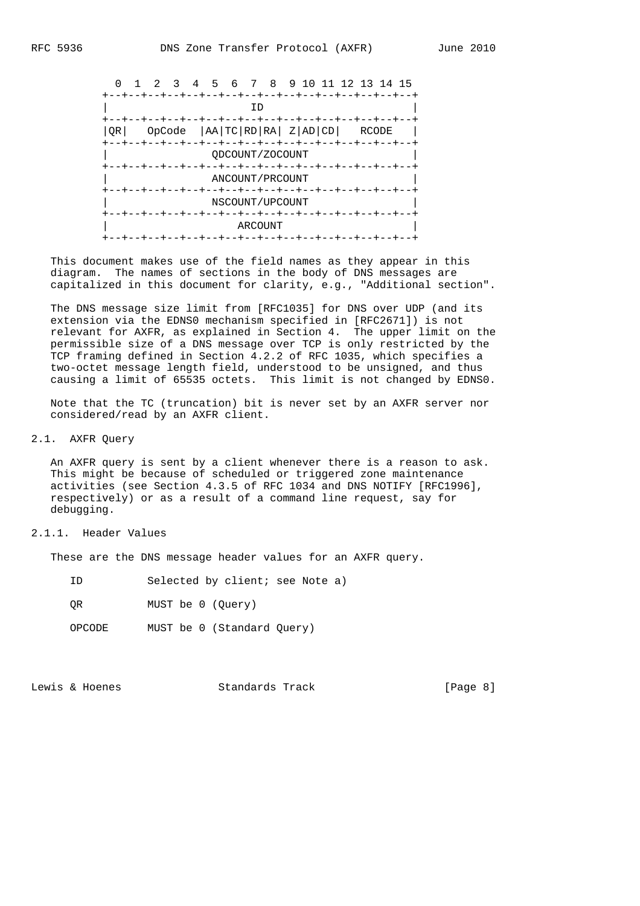| $\overline{\mathbf{3}}$<br>2<br>O | 8<br>7<br>4<br>5.<br>9<br>6<br>12 13<br>14<br>1 O                                         | -15 |
|-----------------------------------|-------------------------------------------------------------------------------------------|-----|
| +--+--+--+--+                     | --+--+--+--+--+--+--+--+<br>-+--+--<br>TD                                                 |     |
| +--+--+<br>QR<br>+--+--+--+--     | $- + - - +$<br>-+--+--+--+<br>OpCode  AA TC RD RA Z AD CD <br>RCODE<br>--+--+--+--+--+--+ |     |
| +--+--+--+                        | ODCOUNT/ZOCOUNT<br>--+--+--+--+--+-<br>-+--+--+--+--+-                                    |     |
|                                   | ANCOUNT/PRCOUNT                                                                           |     |
|                                   | NSCOUNT/UPCOUNT<br>--+--+                                                                 |     |
|                                   | ARCOUNT                                                                                   |     |
|                                   |                                                                                           |     |

 This document makes use of the field names as they appear in this diagram. The names of sections in the body of DNS messages are capitalized in this document for clarity, e.g., "Additional section".

 The DNS message size limit from [RFC1035] for DNS over UDP (and its extension via the EDNS0 mechanism specified in [RFC2671]) is not relevant for AXFR, as explained in Section 4. The upper limit on the permissible size of a DNS message over TCP is only restricted by the TCP framing defined in Section 4.2.2 of RFC 1035, which specifies a two-octet message length field, understood to be unsigned, and thus causing a limit of 65535 octets. This limit is not changed by EDNS0.

 Note that the TC (truncation) bit is never set by an AXFR server nor considered/read by an AXFR client.

# 2.1. AXFR Query

 An AXFR query is sent by a client whenever there is a reason to ask. This might be because of scheduled or triggered zone maintenance activities (see Section 4.3.5 of RFC 1034 and DNS NOTIFY [RFC1996], respectively) or as a result of a command line request, say for debugging.

### 2.1.1. Header Values

These are the DNS message header values for an AXFR query.

| ΤD     | Selected by client; see Note a) |
|--------|---------------------------------|
| OR.    | MUST be 0 (Ouery)               |
| OPCODE | MUST be 0 (Standard Ouery)      |

Lewis & Hoenes **Standards Track** [Page 8]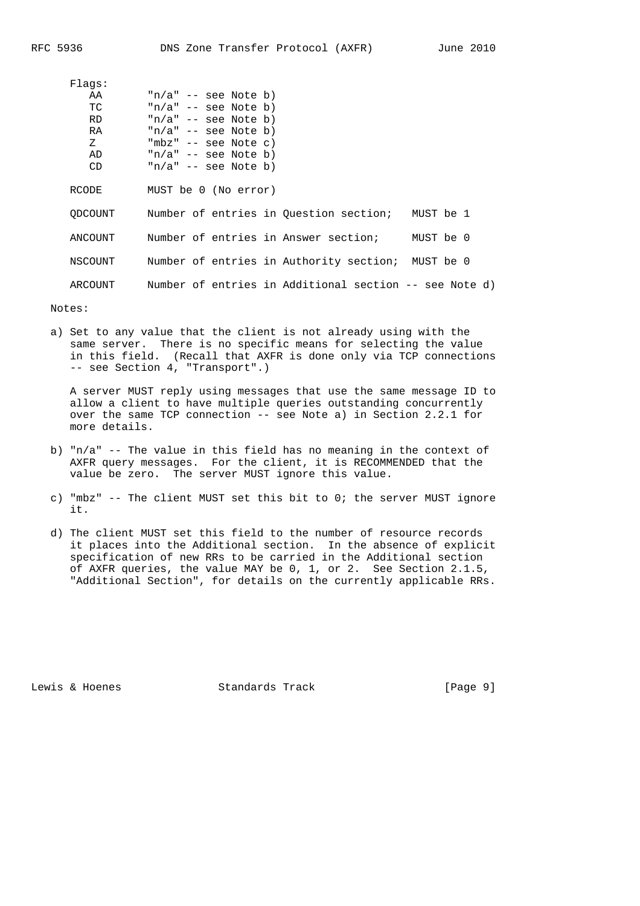| Flaqs:    |                                                        |
|-----------|--------------------------------------------------------|
| AA        | " $n/a$ " -- see Note b)                               |
| ТC        | " $n/a$ " -- see Note b)                               |
| <b>RD</b> | " $n/a$ " -- see Note b)                               |
| RA        | " $n/a$ " -- see Note b)                               |
| Z         | " $mbz$ " -- see Note c)                               |
| AD        | " $n/a$ " -- see Note b)                               |
| CD        | " $n/a$ " -- see Note b)                               |
| RCODE     | MUST be 0 (No error)                                   |
| ODCOUNT   | Number of entries in Ouestion section; MUST be 1       |
| ANCOUNT   | Number of entries in Answer section;<br>MUST be 0      |
| NSCOUNT   | Number of entries in Authority section; MUST be 0      |
| ARCOUNT   | Number of entries in Additional section -- see Note d) |

Notes:

 a) Set to any value that the client is not already using with the same server. There is no specific means for selecting the value in this field. (Recall that AXFR is done only via TCP connections -- see Section 4, "Transport".)

 A server MUST reply using messages that use the same message ID to allow a client to have multiple queries outstanding concurrently over the same TCP connection -- see Note a) in Section 2.2.1 for more details.

- b) "n/a" -- The value in this field has no meaning in the context of AXFR query messages. For the client, it is RECOMMENDED that the value be zero. The server MUST ignore this value.
- c) "mbz" -- The client MUST set this bit to 0; the server MUST ignore it.
- d) The client MUST set this field to the number of resource records it places into the Additional section. In the absence of explicit specification of new RRs to be carried in the Additional section of AXFR queries, the value MAY be 0, 1, or 2. See Section 2.1.5, "Additional Section", for details on the currently applicable RRs.

Lewis & Hoenes Standards Track [Page 9]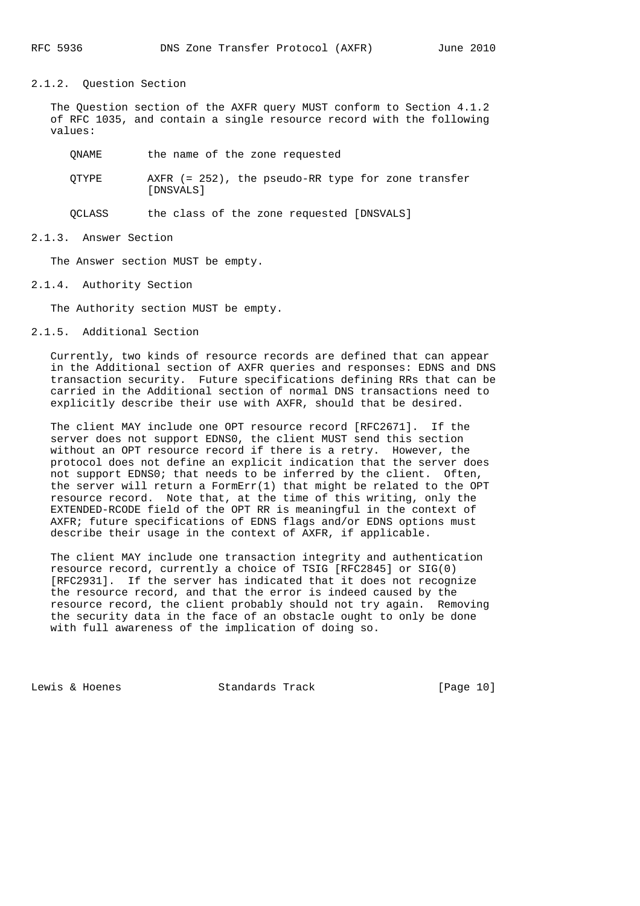2.1.2. Question Section

 The Question section of the AXFR query MUST conform to Section 4.1.2 of RFC 1035, and contain a single resource record with the following values:

QNAME the name of the zone requested

 QTYPE AXFR (= 252), the pseudo-RR type for zone transfer [DNSVALS]

QCLASS the class of the zone requested [DNSVALS]

#### 2.1.3. Answer Section

The Answer section MUST be empty.

2.1.4. Authority Section

The Authority section MUST be empty.

2.1.5. Additional Section

 Currently, two kinds of resource records are defined that can appear in the Additional section of AXFR queries and responses: EDNS and DNS transaction security. Future specifications defining RRs that can be carried in the Additional section of normal DNS transactions need to explicitly describe their use with AXFR, should that be desired.

 The client MAY include one OPT resource record [RFC2671]. If the server does not support EDNS0, the client MUST send this section without an OPT resource record if there is a retry. However, the protocol does not define an explicit indication that the server does not support EDNS0; that needs to be inferred by the client. Often, the server will return a FormErr(1) that might be related to the OPT resource record. Note that, at the time of this writing, only the EXTENDED-RCODE field of the OPT RR is meaningful in the context of AXFR; future specifications of EDNS flags and/or EDNS options must describe their usage in the context of AXFR, if applicable.

 The client MAY include one transaction integrity and authentication resource record, currently a choice of TSIG [RFC2845] or SIG(0) [RFC2931]. If the server has indicated that it does not recognize the resource record, and that the error is indeed caused by the resource record, the client probably should not try again. Removing the security data in the face of an obstacle ought to only be done with full awareness of the implication of doing so.

Lewis & Hoenes Standards Track [Page 10]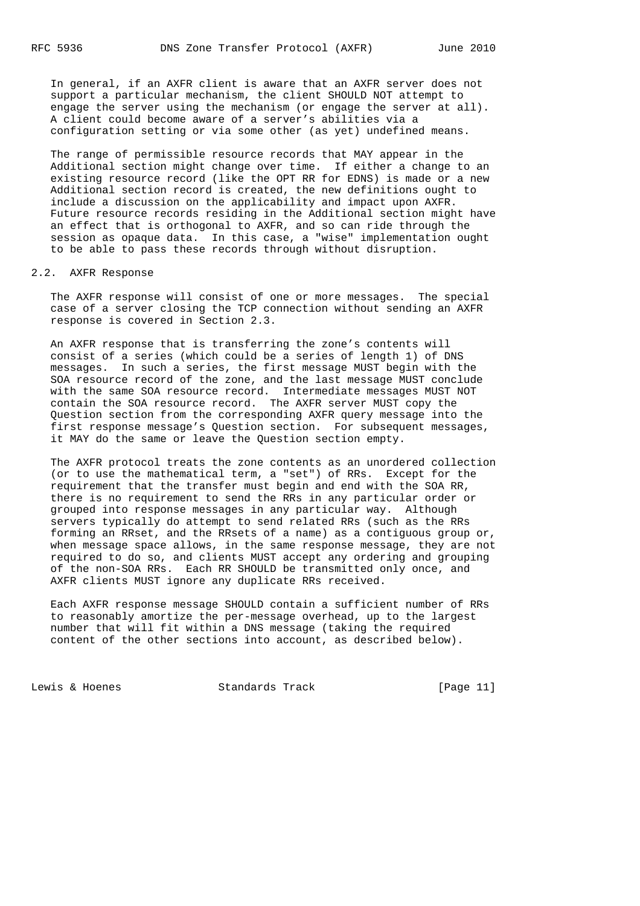In general, if an AXFR client is aware that an AXFR server does not support a particular mechanism, the client SHOULD NOT attempt to engage the server using the mechanism (or engage the server at all). A client could become aware of a server's abilities via a configuration setting or via some other (as yet) undefined means.

 The range of permissible resource records that MAY appear in the Additional section might change over time. If either a change to an existing resource record (like the OPT RR for EDNS) is made or a new Additional section record is created, the new definitions ought to include a discussion on the applicability and impact upon AXFR. Future resource records residing in the Additional section might have an effect that is orthogonal to AXFR, and so can ride through the session as opaque data. In this case, a "wise" implementation ought to be able to pass these records through without disruption.

### 2.2. AXFR Response

 The AXFR response will consist of one or more messages. The special case of a server closing the TCP connection without sending an AXFR response is covered in Section 2.3.

 An AXFR response that is transferring the zone's contents will consist of a series (which could be a series of length 1) of DNS messages. In such a series, the first message MUST begin with the SOA resource record of the zone, and the last message MUST conclude with the same SOA resource record. Intermediate messages MUST NOT contain the SOA resource record. The AXFR server MUST copy the Question section from the corresponding AXFR query message into the first response message's Question section. For subsequent messages, it MAY do the same or leave the Question section empty.

 The AXFR protocol treats the zone contents as an unordered collection (or to use the mathematical term, a "set") of RRs. Except for the requirement that the transfer must begin and end with the SOA RR, there is no requirement to send the RRs in any particular order or grouped into response messages in any particular way. Although servers typically do attempt to send related RRs (such as the RRs forming an RRset, and the RRsets of a name) as a contiguous group or, when message space allows, in the same response message, they are not required to do so, and clients MUST accept any ordering and grouping of the non-SOA RRs. Each RR SHOULD be transmitted only once, and AXFR clients MUST ignore any duplicate RRs received.

 Each AXFR response message SHOULD contain a sufficient number of RRs to reasonably amortize the per-message overhead, up to the largest number that will fit within a DNS message (taking the required content of the other sections into account, as described below).

Lewis & Hoenes Standards Track [Page 11]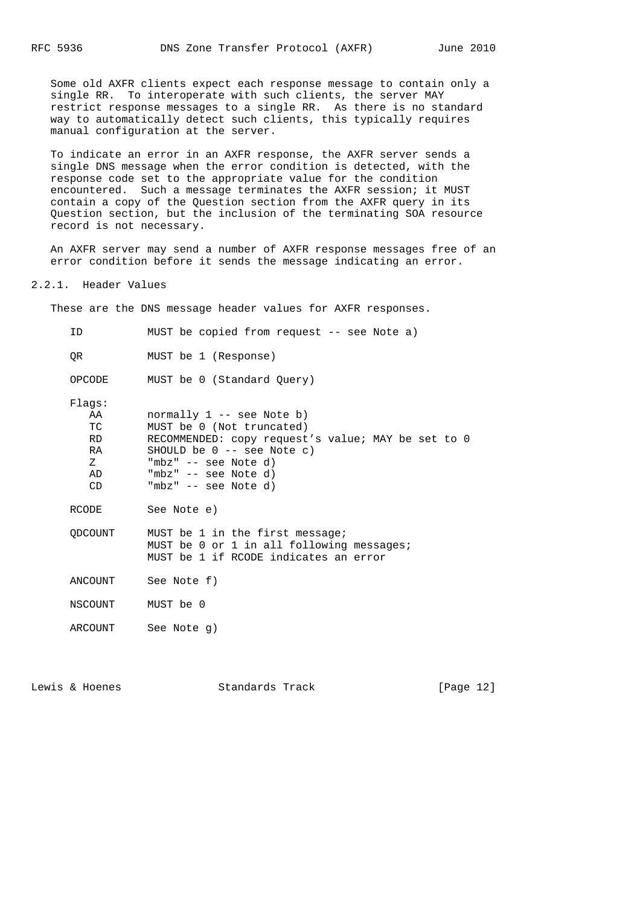Some old AXFR clients expect each response message to contain only a single RR. To interoperate with such clients, the server MAY restrict response messages to a single RR. As there is no standard way to automatically detect such clients, this typically requires manual configuration at the server.

 To indicate an error in an AXFR response, the AXFR server sends a single DNS message when the error condition is detected, with the response code set to the appropriate value for the condition encountered. Such a message terminates the AXFR session; it MUST contain a copy of the Question section from the AXFR query in its Question section, but the inclusion of the terminating SOA resource record is not necessary.

 An AXFR server may send a number of AXFR response messages free of an error condition before it sends the message indicating an error.

# 2.2.1. Header Values

These are the DNS message header values for AXFR responses.

| ID.                                              | MUST be copied from request $-$ see Note a)                                                                                                                                                                                         |
|--------------------------------------------------|-------------------------------------------------------------------------------------------------------------------------------------------------------------------------------------------------------------------------------------|
| QR                                               | MUST be 1 (Response)                                                                                                                                                                                                                |
| OPCODE                                           | MUST be 0 (Standard Query)                                                                                                                                                                                                          |
| Flaqs:<br>AA<br>TC<br>RD<br>RA<br>Z.<br>AD<br>CD | normally $1$ -- see Note b)<br>MUST be 0 (Not truncated)<br>RECOMMENDED: copy request's value; MAY be set to 0<br>SHOULD be $0$ -- see Note c)<br>" $mbz$ " -- see Note d)<br>"mbz" $--$ see Note $d$ )<br>" $mbz$ " -- see Note d) |
| RCODE                                            | See Note e)                                                                                                                                                                                                                         |
| ODCOUNT                                          | MUST be 1 in the first message;<br>MUST be 0 or 1 in all following messages;<br>MUST be 1 if RCODE indicates an error                                                                                                               |
| ANCOUNT                                          | See Note f)                                                                                                                                                                                                                         |
| NSCOUNT                                          | MUST be 0                                                                                                                                                                                                                           |
| ARCOUNT                                          | See Note $q$ )                                                                                                                                                                                                                      |
|                                                  |                                                                                                                                                                                                                                     |

Lewis & Hoenes Standards Track [Page 12]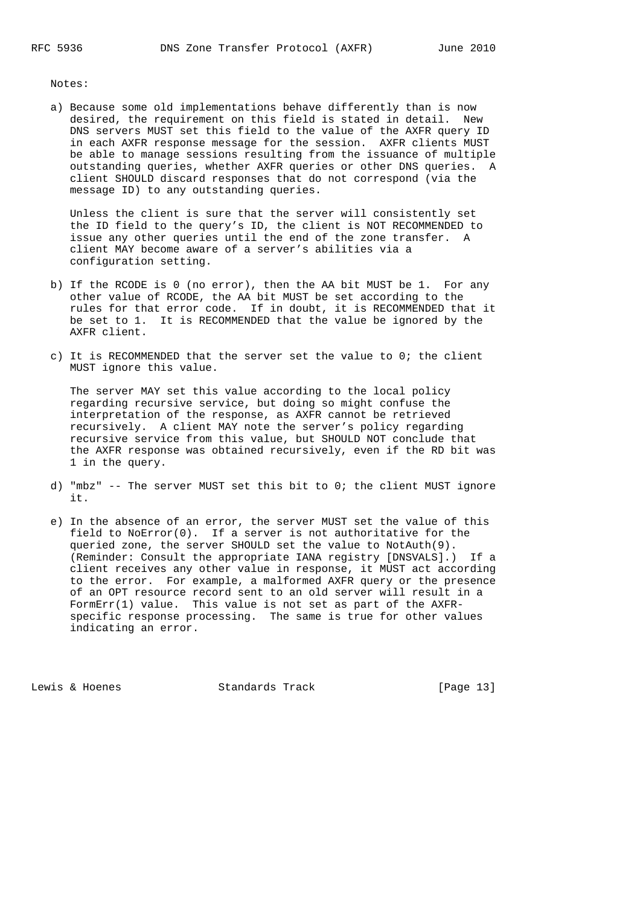Notes:

 a) Because some old implementations behave differently than is now desired, the requirement on this field is stated in detail. New DNS servers MUST set this field to the value of the AXFR query ID in each AXFR response message for the session. AXFR clients MUST be able to manage sessions resulting from the issuance of multiple outstanding queries, whether AXFR queries or other DNS queries. A client SHOULD discard responses that do not correspond (via the message ID) to any outstanding queries.

 Unless the client is sure that the server will consistently set the ID field to the query's ID, the client is NOT RECOMMENDED to issue any other queries until the end of the zone transfer. A client MAY become aware of a server's abilities via a configuration setting.

- b) If the RCODE is 0 (no error), then the AA bit MUST be 1. For any other value of RCODE, the AA bit MUST be set according to the rules for that error code. If in doubt, it is RECOMMENDED that it be set to 1. It is RECOMMENDED that the value be ignored by the AXFR client.
- c) It is RECOMMENDED that the server set the value to  $0$ ; the client MUST ignore this value.

 The server MAY set this value according to the local policy regarding recursive service, but doing so might confuse the interpretation of the response, as AXFR cannot be retrieved recursively. A client MAY note the server's policy regarding recursive service from this value, but SHOULD NOT conclude that the AXFR response was obtained recursively, even if the RD bit was 1 in the query.

- d) "mbz" -- The server MUST set this bit to 0; the client MUST ignore it.
- e) In the absence of an error, the server MUST set the value of this field to NoError(0). If a server is not authoritative for the queried zone, the server SHOULD set the value to NotAuth(9). (Reminder: Consult the appropriate IANA registry [DNSVALS].) If a client receives any other value in response, it MUST act according to the error. For example, a malformed AXFR query or the presence of an OPT resource record sent to an old server will result in a FormErr(1) value. This value is not set as part of the AXFR specific response processing. The same is true for other values indicating an error.

Lewis & Hoenes Standards Track [Page 13]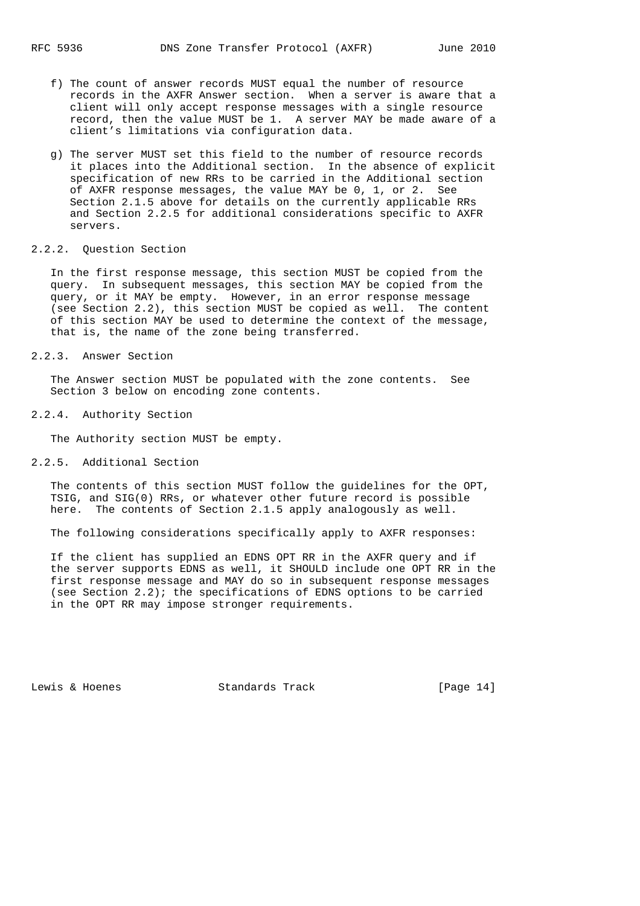- f) The count of answer records MUST equal the number of resource records in the AXFR Answer section. When a server is aware that a client will only accept response messages with a single resource record, then the value MUST be 1. A server MAY be made aware of a client's limitations via configuration data.
- g) The server MUST set this field to the number of resource records it places into the Additional section. In the absence of explicit specification of new RRs to be carried in the Additional section of AXFR response messages, the value MAY be 0, 1, or 2. See Section 2.1.5 above for details on the currently applicable RRs and Section 2.2.5 for additional considerations specific to AXFR servers.

### 2.2.2. Question Section

 In the first response message, this section MUST be copied from the query. In subsequent messages, this section MAY be copied from the query, or it MAY be empty. However, in an error response message (see Section 2.2), this section MUST be copied as well. The content of this section MAY be used to determine the context of the message, that is, the name of the zone being transferred.

2.2.3. Answer Section

 The Answer section MUST be populated with the zone contents. See Section 3 below on encoding zone contents.

2.2.4. Authority Section

The Authority section MUST be empty.

2.2.5. Additional Section

 The contents of this section MUST follow the guidelines for the OPT, TSIG, and SIG(0) RRs, or whatever other future record is possible here. The contents of Section 2.1.5 apply analogously as well.

The following considerations specifically apply to AXFR responses:

 If the client has supplied an EDNS OPT RR in the AXFR query and if the server supports EDNS as well, it SHOULD include one OPT RR in the first response message and MAY do so in subsequent response messages (see Section  $2.2$ ); the specifications of EDNS options to be carried in the OPT RR may impose stronger requirements.

Lewis & Hoenes Standards Track [Page 14]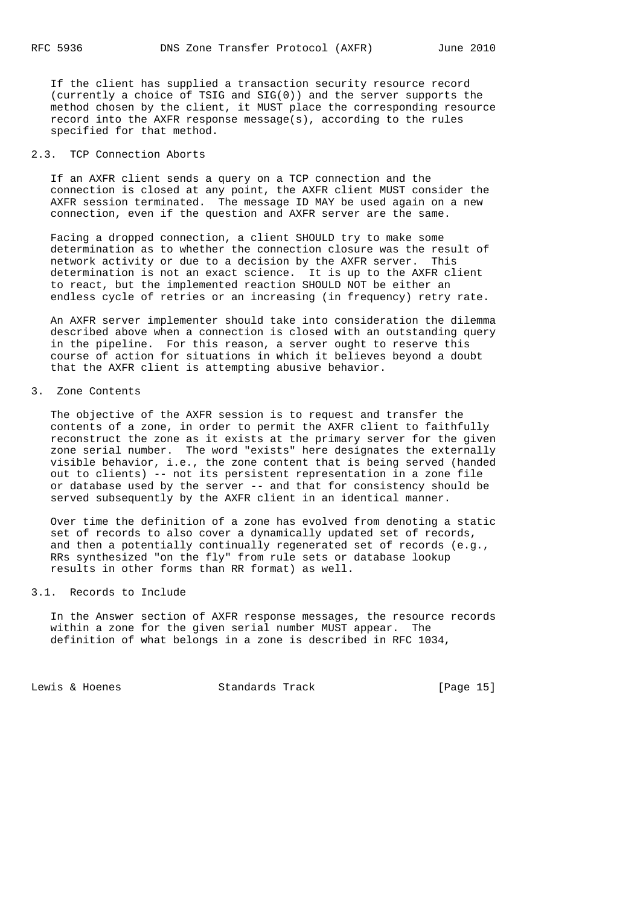If the client has supplied a transaction security resource record (currently a choice of TSIG and SIG(0)) and the server supports the method chosen by the client, it MUST place the corresponding resource record into the AXFR response message(s), according to the rules specified for that method.

# 2.3. TCP Connection Aborts

 If an AXFR client sends a query on a TCP connection and the connection is closed at any point, the AXFR client MUST consider the AXFR session terminated. The message ID MAY be used again on a new connection, even if the question and AXFR server are the same.

 Facing a dropped connection, a client SHOULD try to make some determination as to whether the connection closure was the result of network activity or due to a decision by the AXFR server. This determination is not an exact science. It is up to the AXFR client to react, but the implemented reaction SHOULD NOT be either an endless cycle of retries or an increasing (in frequency) retry rate.

 An AXFR server implementer should take into consideration the dilemma described above when a connection is closed with an outstanding query in the pipeline. For this reason, a server ought to reserve this course of action for situations in which it believes beyond a doubt that the AXFR client is attempting abusive behavior.

## 3. Zone Contents

 The objective of the AXFR session is to request and transfer the contents of a zone, in order to permit the AXFR client to faithfully reconstruct the zone as it exists at the primary server for the given zone serial number. The word "exists" here designates the externally visible behavior, i.e., the zone content that is being served (handed out to clients) -- not its persistent representation in a zone file or database used by the server -- and that for consistency should be served subsequently by the AXFR client in an identical manner.

 Over time the definition of a zone has evolved from denoting a static set of records to also cover a dynamically updated set of records, and then a potentially continually regenerated set of records (e.g., RRs synthesized "on the fly" from rule sets or database lookup results in other forms than RR format) as well.

# 3.1. Records to Include

 In the Answer section of AXFR response messages, the resource records within a zone for the given serial number MUST appear. The definition of what belongs in a zone is described in RFC 1034,

Lewis & Hoenes Standards Track [Page 15]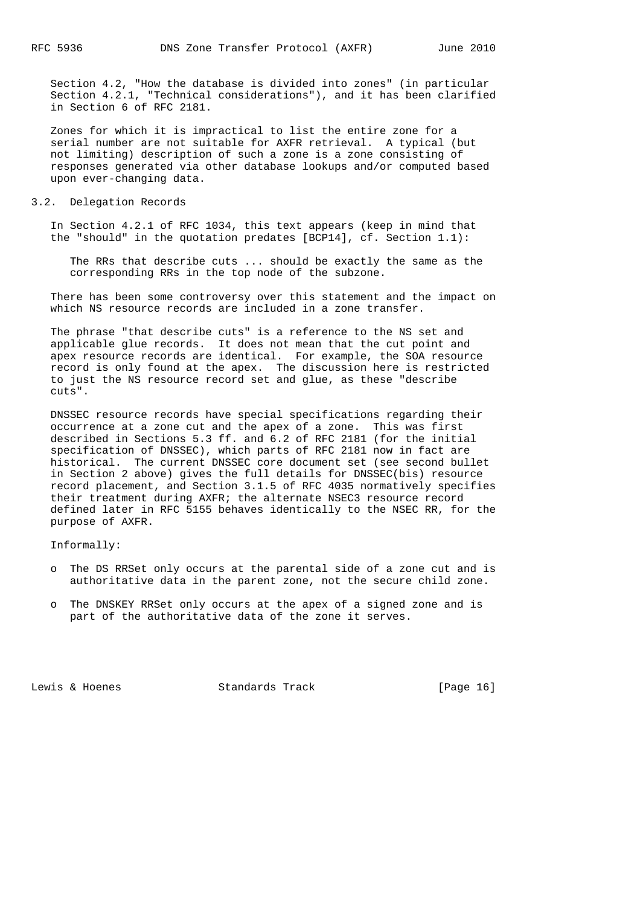Section 4.2, "How the database is divided into zones" (in particular Section 4.2.1, "Technical considerations"), and it has been clarified in Section 6 of RFC 2181.

 Zones for which it is impractical to list the entire zone for a serial number are not suitable for AXFR retrieval. A typical (but not limiting) description of such a zone is a zone consisting of responses generated via other database lookups and/or computed based upon ever-changing data.

### 3.2. Delegation Records

 In Section 4.2.1 of RFC 1034, this text appears (keep in mind that the "should" in the quotation predates [BCP14], cf. Section 1.1):

 The RRs that describe cuts ... should be exactly the same as the corresponding RRs in the top node of the subzone.

 There has been some controversy over this statement and the impact on which NS resource records are included in a zone transfer.

 The phrase "that describe cuts" is a reference to the NS set and applicable glue records. It does not mean that the cut point and apex resource records are identical. For example, the SOA resource record is only found at the apex. The discussion here is restricted to just the NS resource record set and glue, as these "describe cuts".

 DNSSEC resource records have special specifications regarding their occurrence at a zone cut and the apex of a zone. This was first described in Sections 5.3 ff. and 6.2 of RFC 2181 (for the initial specification of DNSSEC), which parts of RFC 2181 now in fact are historical. The current DNSSEC core document set (see second bullet in Section 2 above) gives the full details for DNSSEC(bis) resource record placement, and Section 3.1.5 of RFC 4035 normatively specifies their treatment during AXFR; the alternate NSEC3 resource record defined later in RFC 5155 behaves identically to the NSEC RR, for the purpose of AXFR.

Informally:

- o The DS RRSet only occurs at the parental side of a zone cut and is authoritative data in the parent zone, not the secure child zone.
- o The DNSKEY RRSet only occurs at the apex of a signed zone and is part of the authoritative data of the zone it serves.

Lewis & Hoenes Standards Track [Page 16]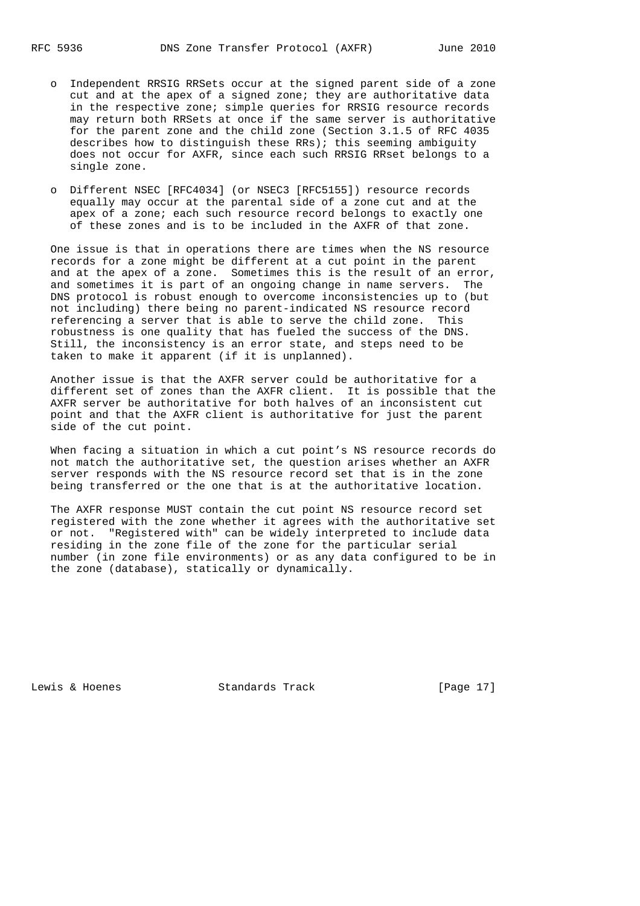- o Independent RRSIG RRSets occur at the signed parent side of a zone cut and at the apex of a signed zone; they are authoritative data in the respective zone; simple queries for RRSIG resource records may return both RRSets at once if the same server is authoritative for the parent zone and the child zone (Section 3.1.5 of RFC 4035 describes how to distinguish these RRs); this seeming ambiguity does not occur for AXFR, since each such RRSIG RRset belongs to a single zone.
- o Different NSEC [RFC4034] (or NSEC3 [RFC5155]) resource records equally may occur at the parental side of a zone cut and at the apex of a zone; each such resource record belongs to exactly one of these zones and is to be included in the AXFR of that zone.

 One issue is that in operations there are times when the NS resource records for a zone might be different at a cut point in the parent and at the apex of a zone. Sometimes this is the result of an error, and sometimes it is part of an ongoing change in name servers. The DNS protocol is robust enough to overcome inconsistencies up to (but not including) there being no parent-indicated NS resource record referencing a server that is able to serve the child zone. This robustness is one quality that has fueled the success of the DNS. Still, the inconsistency is an error state, and steps need to be taken to make it apparent (if it is unplanned).

 Another issue is that the AXFR server could be authoritative for a different set of zones than the AXFR client. It is possible that the AXFR server be authoritative for both halves of an inconsistent cut point and that the AXFR client is authoritative for just the parent side of the cut point.

 When facing a situation in which a cut point's NS resource records do not match the authoritative set, the question arises whether an AXFR server responds with the NS resource record set that is in the zone being transferred or the one that is at the authoritative location.

 The AXFR response MUST contain the cut point NS resource record set registered with the zone whether it agrees with the authoritative set or not. "Registered with" can be widely interpreted to include data residing in the zone file of the zone for the particular serial number (in zone file environments) or as any data configured to be in the zone (database), statically or dynamically.

Lewis & Hoenes Standards Track [Page 17]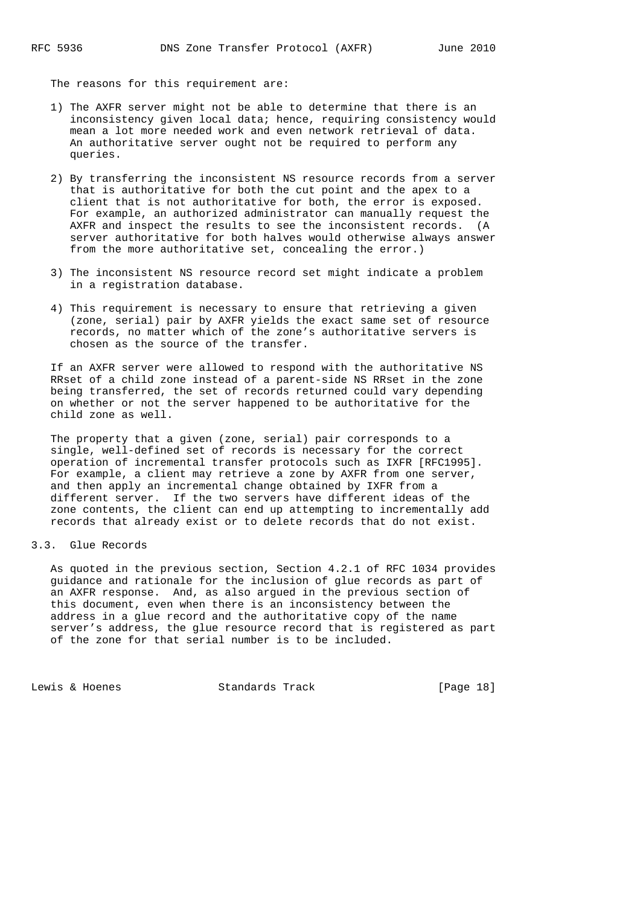The reasons for this requirement are:

- 1) The AXFR server might not be able to determine that there is an inconsistency given local data; hence, requiring consistency would mean a lot more needed work and even network retrieval of data. An authoritative server ought not be required to perform any queries.
- 2) By transferring the inconsistent NS resource records from a server that is authoritative for both the cut point and the apex to a client that is not authoritative for both, the error is exposed. For example, an authorized administrator can manually request the AXFR and inspect the results to see the inconsistent records. (A server authoritative for both halves would otherwise always answer from the more authoritative set, concealing the error.)
- 3) The inconsistent NS resource record set might indicate a problem in a registration database.
- 4) This requirement is necessary to ensure that retrieving a given (zone, serial) pair by AXFR yields the exact same set of resource records, no matter which of the zone's authoritative servers is chosen as the source of the transfer.

 If an AXFR server were allowed to respond with the authoritative NS RRset of a child zone instead of a parent-side NS RRset in the zone being transferred, the set of records returned could vary depending on whether or not the server happened to be authoritative for the child zone as well.

 The property that a given (zone, serial) pair corresponds to a single, well-defined set of records is necessary for the correct operation of incremental transfer protocols such as IXFR [RFC1995]. For example, a client may retrieve a zone by AXFR from one server, and then apply an incremental change obtained by IXFR from a different server. If the two servers have different ideas of the zone contents, the client can end up attempting to incrementally add records that already exist or to delete records that do not exist.

### 3.3. Glue Records

 As quoted in the previous section, Section 4.2.1 of RFC 1034 provides guidance and rationale for the inclusion of glue records as part of an AXFR response. And, as also argued in the previous section of this document, even when there is an inconsistency between the address in a glue record and the authoritative copy of the name server's address, the glue resource record that is registered as part of the zone for that serial number is to be included.

Lewis & Hoenes Standards Track [Page 18]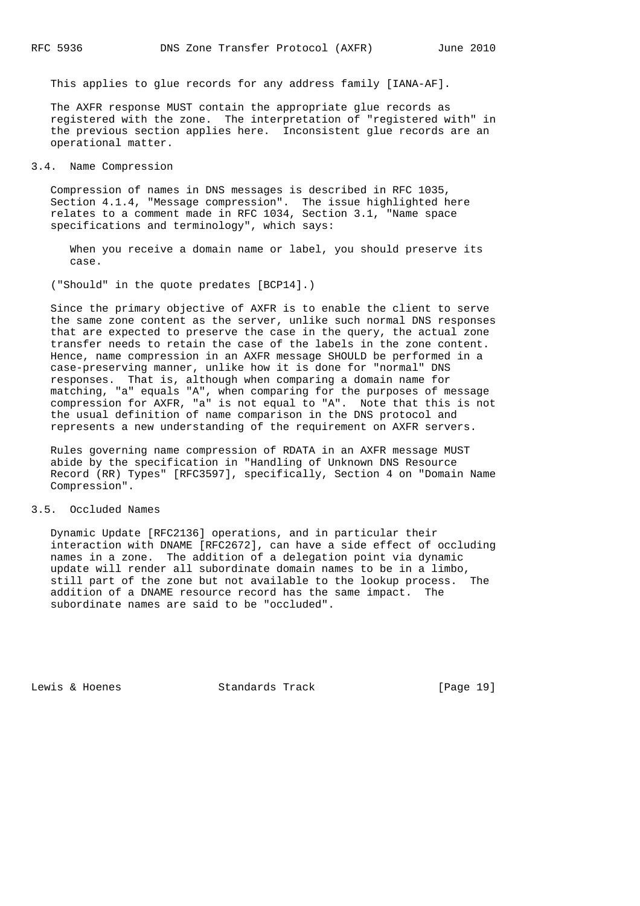This applies to glue records for any address family [IANA-AF].

 The AXFR response MUST contain the appropriate glue records as registered with the zone. The interpretation of "registered with" in the previous section applies here. Inconsistent glue records are an operational matter.

### 3.4. Name Compression

 Compression of names in DNS messages is described in RFC 1035, Section 4.1.4, "Message compression". The issue highlighted here relates to a comment made in RFC 1034, Section 3.1, "Name space specifications and terminology", which says:

When you receive a domain name or label, you should preserve its case.

("Should" in the quote predates [BCP14].)

 Since the primary objective of AXFR is to enable the client to serve the same zone content as the server, unlike such normal DNS responses that are expected to preserve the case in the query, the actual zone transfer needs to retain the case of the labels in the zone content. Hence, name compression in an AXFR message SHOULD be performed in a case-preserving manner, unlike how it is done for "normal" DNS responses. That is, although when comparing a domain name for matching, "a" equals "A", when comparing for the purposes of message compression for AXFR, "a" is not equal to "A". Note that this is not the usual definition of name comparison in the DNS protocol and represents a new understanding of the requirement on AXFR servers.

 Rules governing name compression of RDATA in an AXFR message MUST abide by the specification in "Handling of Unknown DNS Resource Record (RR) Types" [RFC3597], specifically, Section 4 on "Domain Name Compression".

### 3.5. Occluded Names

 Dynamic Update [RFC2136] operations, and in particular their interaction with DNAME [RFC2672], can have a side effect of occluding names in a zone. The addition of a delegation point via dynamic update will render all subordinate domain names to be in a limbo, still part of the zone but not available to the lookup process. The addition of a DNAME resource record has the same impact. The subordinate names are said to be "occluded".

Lewis & Hoenes Standards Track [Page 19]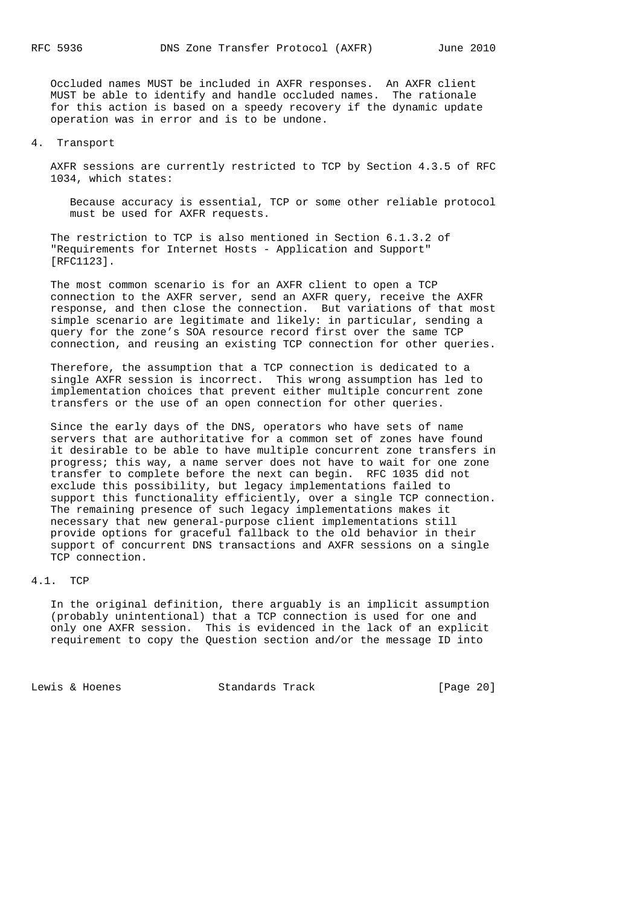Occluded names MUST be included in AXFR responses. An AXFR client MUST be able to identify and handle occluded names. The rationale for this action is based on a speedy recovery if the dynamic update operation was in error and is to be undone.

4. Transport

 AXFR sessions are currently restricted to TCP by Section 4.3.5 of RFC 1034, which states:

 Because accuracy is essential, TCP or some other reliable protocol must be used for AXFR requests.

 The restriction to TCP is also mentioned in Section 6.1.3.2 of "Requirements for Internet Hosts - Application and Support" [RFC1123].

 The most common scenario is for an AXFR client to open a TCP connection to the AXFR server, send an AXFR query, receive the AXFR response, and then close the connection. But variations of that most simple scenario are legitimate and likely: in particular, sending a query for the zone's SOA resource record first over the same TCP connection, and reusing an existing TCP connection for other queries.

 Therefore, the assumption that a TCP connection is dedicated to a single AXFR session is incorrect. This wrong assumption has led to implementation choices that prevent either multiple concurrent zone transfers or the use of an open connection for other queries.

 Since the early days of the DNS, operators who have sets of name servers that are authoritative for a common set of zones have found it desirable to be able to have multiple concurrent zone transfers in progress; this way, a name server does not have to wait for one zone transfer to complete before the next can begin. RFC 1035 did not exclude this possibility, but legacy implementations failed to support this functionality efficiently, over a single TCP connection. The remaining presence of such legacy implementations makes it necessary that new general-purpose client implementations still provide options for graceful fallback to the old behavior in their support of concurrent DNS transactions and AXFR sessions on a single TCP connection.

#### 4.1. TCP

 In the original definition, there arguably is an implicit assumption (probably unintentional) that a TCP connection is used for one and only one AXFR session. This is evidenced in the lack of an explicit requirement to copy the Question section and/or the message ID into

Lewis & Hoenes Standards Track [Page 20]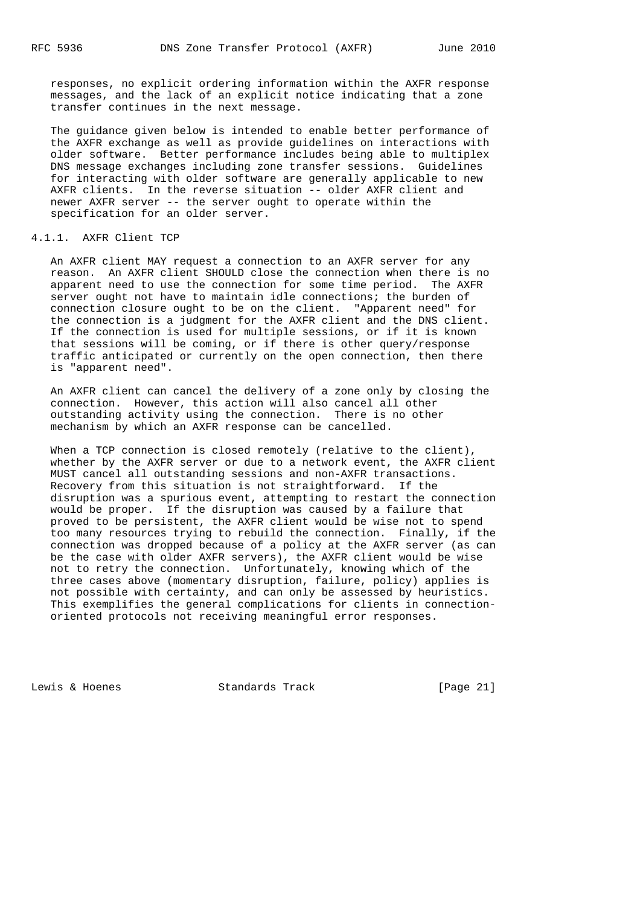responses, no explicit ordering information within the AXFR response messages, and the lack of an explicit notice indicating that a zone transfer continues in the next message.

 The guidance given below is intended to enable better performance of the AXFR exchange as well as provide guidelines on interactions with older software. Better performance includes being able to multiplex DNS message exchanges including zone transfer sessions. Guidelines for interacting with older software are generally applicable to new AXFR clients. In the reverse situation -- older AXFR client and newer AXFR server -- the server ought to operate within the specification for an older server.

#### 4.1.1. AXFR Client TCP

 An AXFR client MAY request a connection to an AXFR server for any reason. An AXFR client SHOULD close the connection when there is no apparent need to use the connection for some time period. The AXFR server ought not have to maintain idle connections; the burden of connection closure ought to be on the client. "Apparent need" for the connection is a judgment for the AXFR client and the DNS client. If the connection is used for multiple sessions, or if it is known that sessions will be coming, or if there is other query/response traffic anticipated or currently on the open connection, then there is "apparent need".

 An AXFR client can cancel the delivery of a zone only by closing the connection. However, this action will also cancel all other outstanding activity using the connection. There is no other mechanism by which an AXFR response can be cancelled.

 When a TCP connection is closed remotely (relative to the client), whether by the AXFR server or due to a network event, the AXFR client MUST cancel all outstanding sessions and non-AXFR transactions. Recovery from this situation is not straightforward. If the disruption was a spurious event, attempting to restart the connection would be proper. If the disruption was caused by a failure that proved to be persistent, the AXFR client would be wise not to spend too many resources trying to rebuild the connection. Finally, if the connection was dropped because of a policy at the AXFR server (as can be the case with older AXFR servers), the AXFR client would be wise not to retry the connection. Unfortunately, knowing which of the three cases above (momentary disruption, failure, policy) applies is not possible with certainty, and can only be assessed by heuristics. This exemplifies the general complications for clients in connection oriented protocols not receiving meaningful error responses.

Lewis & Hoenes Standards Track [Page 21]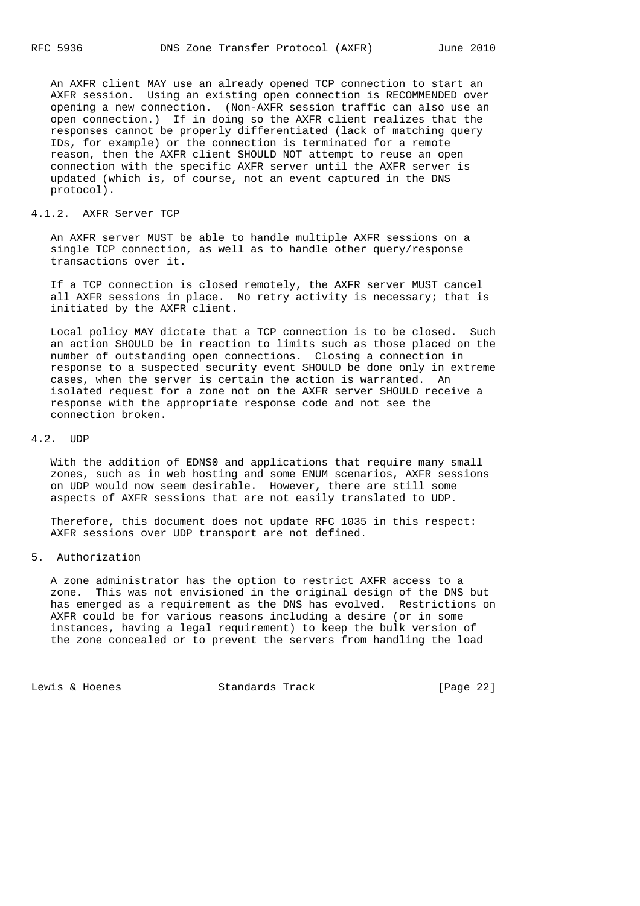An AXFR client MAY use an already opened TCP connection to start an AXFR session. Using an existing open connection is RECOMMENDED over opening a new connection. (Non-AXFR session traffic can also use an open connection.) If in doing so the AXFR client realizes that the responses cannot be properly differentiated (lack of matching query IDs, for example) or the connection is terminated for a remote reason, then the AXFR client SHOULD NOT attempt to reuse an open connection with the specific AXFR server until the AXFR server is updated (which is, of course, not an event captured in the DNS protocol).

# 4.1.2. AXFR Server TCP

 An AXFR server MUST be able to handle multiple AXFR sessions on a single TCP connection, as well as to handle other query/response transactions over it.

 If a TCP connection is closed remotely, the AXFR server MUST cancel all AXFR sessions in place. No retry activity is necessary; that is initiated by the AXFR client.

 Local policy MAY dictate that a TCP connection is to be closed. Such an action SHOULD be in reaction to limits such as those placed on the number of outstanding open connections. Closing a connection in response to a suspected security event SHOULD be done only in extreme cases, when the server is certain the action is warranted. An isolated request for a zone not on the AXFR server SHOULD receive a response with the appropriate response code and not see the connection broken.

### 4.2. UDP

 With the addition of EDNS0 and applications that require many small zones, such as in web hosting and some ENUM scenarios, AXFR sessions on UDP would now seem desirable. However, there are still some aspects of AXFR sessions that are not easily translated to UDP.

 Therefore, this document does not update RFC 1035 in this respect: AXFR sessions over UDP transport are not defined.

### 5. Authorization

 A zone administrator has the option to restrict AXFR access to a zone. This was not envisioned in the original design of the DNS but has emerged as a requirement as the DNS has evolved. Restrictions on AXFR could be for various reasons including a desire (or in some instances, having a legal requirement) to keep the bulk version of the zone concealed or to prevent the servers from handling the load

Lewis & Hoenes Standards Track [Page 22]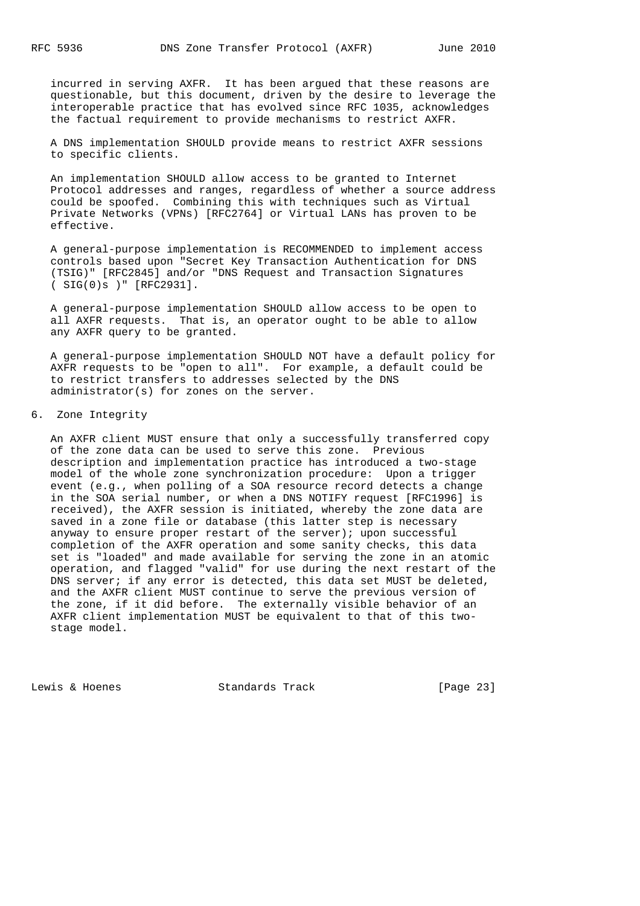incurred in serving AXFR. It has been argued that these reasons are questionable, but this document, driven by the desire to leverage the interoperable practice that has evolved since RFC 1035, acknowledges the factual requirement to provide mechanisms to restrict AXFR.

 A DNS implementation SHOULD provide means to restrict AXFR sessions to specific clients.

 An implementation SHOULD allow access to be granted to Internet Protocol addresses and ranges, regardless of whether a source address could be spoofed. Combining this with techniques such as Virtual Private Networks (VPNs) [RFC2764] or Virtual LANs has proven to be effective.

 A general-purpose implementation is RECOMMENDED to implement access controls based upon "Secret Key Transaction Authentication for DNS (TSIG)" [RFC2845] and/or "DNS Request and Transaction Signatures ( SIG(0)s )" [RFC2931].

 A general-purpose implementation SHOULD allow access to be open to all AXFR requests. That is, an operator ought to be able to allow any AXFR query to be granted.

 A general-purpose implementation SHOULD NOT have a default policy for AXFR requests to be "open to all". For example, a default could be to restrict transfers to addresses selected by the DNS administrator(s) for zones on the server.

# 6. Zone Integrity

 An AXFR client MUST ensure that only a successfully transferred copy of the zone data can be used to serve this zone. Previous description and implementation practice has introduced a two-stage model of the whole zone synchronization procedure: Upon a trigger event (e.g., when polling of a SOA resource record detects a change in the SOA serial number, or when a DNS NOTIFY request [RFC1996] is received), the AXFR session is initiated, whereby the zone data are saved in a zone file or database (this latter step is necessary anyway to ensure proper restart of the server); upon successful completion of the AXFR operation and some sanity checks, this data set is "loaded" and made available for serving the zone in an atomic operation, and flagged "valid" for use during the next restart of the DNS server; if any error is detected, this data set MUST be deleted, and the AXFR client MUST continue to serve the previous version of the zone, if it did before. The externally visible behavior of an AXFR client implementation MUST be equivalent to that of this two stage model.

Lewis & Hoenes Standards Track [Page 23]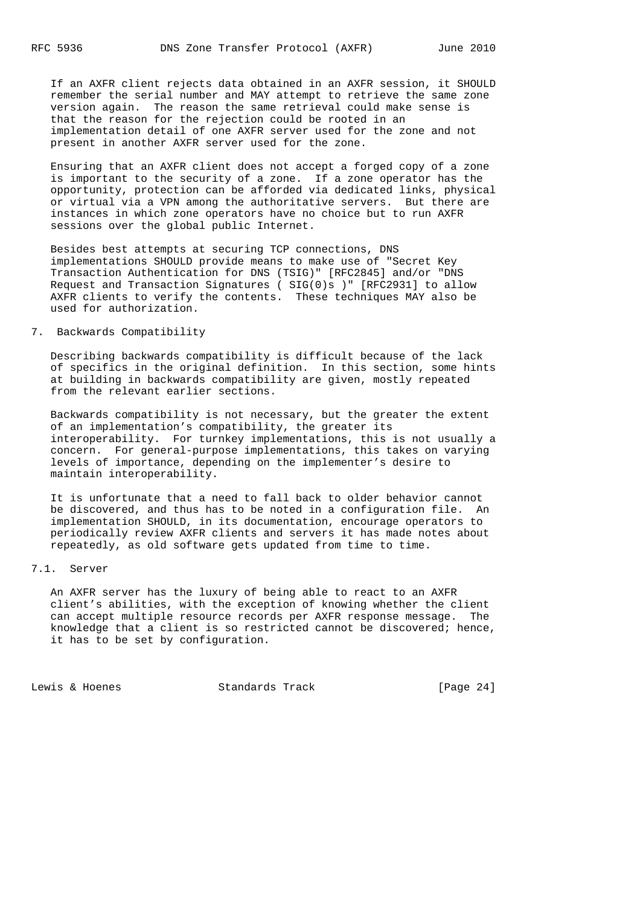If an AXFR client rejects data obtained in an AXFR session, it SHOULD remember the serial number and MAY attempt to retrieve the same zone version again. The reason the same retrieval could make sense is that the reason for the rejection could be rooted in an implementation detail of one AXFR server used for the zone and not present in another AXFR server used for the zone.

 Ensuring that an AXFR client does not accept a forged copy of a zone is important to the security of a zone. If a zone operator has the opportunity, protection can be afforded via dedicated links, physical or virtual via a VPN among the authoritative servers. But there are instances in which zone operators have no choice but to run AXFR sessions over the global public Internet.

 Besides best attempts at securing TCP connections, DNS implementations SHOULD provide means to make use of "Secret Key Transaction Authentication for DNS (TSIG)" [RFC2845] and/or "DNS Request and Transaction Signatures ( SIG(0)s )" [RFC2931] to allow AXFR clients to verify the contents. These techniques MAY also be used for authorization.

# 7. Backwards Compatibility

 Describing backwards compatibility is difficult because of the lack of specifics in the original definition. In this section, some hints at building in backwards compatibility are given, mostly repeated from the relevant earlier sections.

 Backwards compatibility is not necessary, but the greater the extent of an implementation's compatibility, the greater its interoperability. For turnkey implementations, this is not usually a concern. For general-purpose implementations, this takes on varying levels of importance, depending on the implementer's desire to maintain interoperability.

 It is unfortunate that a need to fall back to older behavior cannot be discovered, and thus has to be noted in a configuration file. An implementation SHOULD, in its documentation, encourage operators to periodically review AXFR clients and servers it has made notes about repeatedly, as old software gets updated from time to time.

# 7.1. Server

 An AXFR server has the luxury of being able to react to an AXFR client's abilities, with the exception of knowing whether the client can accept multiple resource records per AXFR response message. The knowledge that a client is so restricted cannot be discovered; hence, it has to be set by configuration.

Lewis & Hoenes Standards Track [Page 24]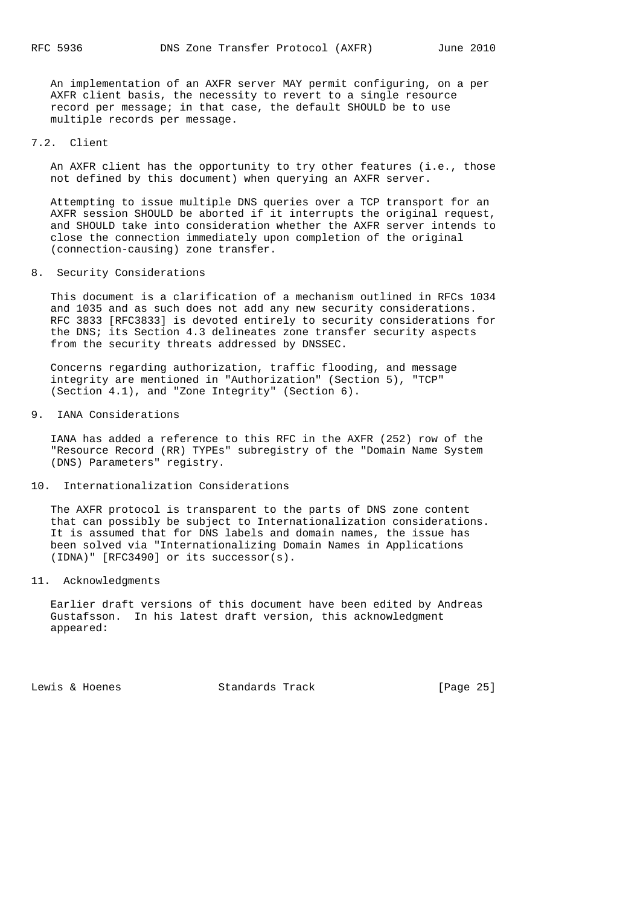An implementation of an AXFR server MAY permit configuring, on a per AXFR client basis, the necessity to revert to a single resource record per message; in that case, the default SHOULD be to use multiple records per message.

### 7.2. Client

 An AXFR client has the opportunity to try other features (i.e., those not defined by this document) when querying an AXFR server.

 Attempting to issue multiple DNS queries over a TCP transport for an AXFR session SHOULD be aborted if it interrupts the original request, and SHOULD take into consideration whether the AXFR server intends to close the connection immediately upon completion of the original (connection-causing) zone transfer.

### 8. Security Considerations

 This document is a clarification of a mechanism outlined in RFCs 1034 and 1035 and as such does not add any new security considerations. RFC 3833 [RFC3833] is devoted entirely to security considerations for the DNS; its Section 4.3 delineates zone transfer security aspects from the security threats addressed by DNSSEC.

 Concerns regarding authorization, traffic flooding, and message integrity are mentioned in "Authorization" (Section 5), "TCP" (Section 4.1), and "Zone Integrity" (Section 6).

# 9. IANA Considerations

 IANA has added a reference to this RFC in the AXFR (252) row of the "Resource Record (RR) TYPEs" subregistry of the "Domain Name System (DNS) Parameters" registry.

### 10. Internationalization Considerations

 The AXFR protocol is transparent to the parts of DNS zone content that can possibly be subject to Internationalization considerations. It is assumed that for DNS labels and domain names, the issue has been solved via "Internationalizing Domain Names in Applications (IDNA)" [RFC3490] or its successor(s).

# 11. Acknowledgments

 Earlier draft versions of this document have been edited by Andreas Gustafsson. In his latest draft version, this acknowledgment appeared:

Lewis & Hoenes Standards Track [Page 25]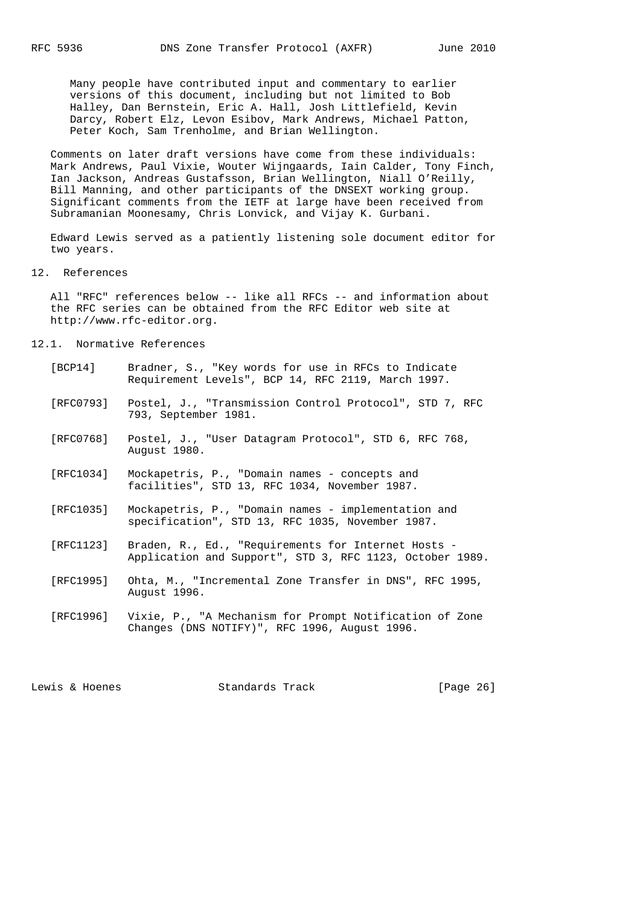Many people have contributed input and commentary to earlier versions of this document, including but not limited to Bob Halley, Dan Bernstein, Eric A. Hall, Josh Littlefield, Kevin Darcy, Robert Elz, Levon Esibov, Mark Andrews, Michael Patton, Peter Koch, Sam Trenholme, and Brian Wellington.

 Comments on later draft versions have come from these individuals: Mark Andrews, Paul Vixie, Wouter Wijngaards, Iain Calder, Tony Finch, Ian Jackson, Andreas Gustafsson, Brian Wellington, Niall O'Reilly, Bill Manning, and other participants of the DNSEXT working group. Significant comments from the IETF at large have been received from Subramanian Moonesamy, Chris Lonvick, and Vijay K. Gurbani.

 Edward Lewis served as a patiently listening sole document editor for two years.

12. References

 All "RFC" references below -- like all RFCs -- and information about the RFC series can be obtained from the RFC Editor web site at http://www.rfc-editor.org.

# 12.1. Normative References

| [BCP14] | Bradner, S., "Key words for use in RFCs to Indicate |  |  |  |  |  |  |
|---------|-----------------------------------------------------|--|--|--|--|--|--|
|         | Requirement Levels", BCP 14, RFC 2119, March 1997.  |  |  |  |  |  |  |

- [RFC0793] Postel, J., "Transmission Control Protocol", STD 7, RFC 793, September 1981.
- [RFC0768] Postel, J., "User Datagram Protocol", STD 6, RFC 768, August 1980.
- [RFC1034] Mockapetris, P., "Domain names concepts and facilities", STD 13, RFC 1034, November 1987.
- [RFC1035] Mockapetris, P., "Domain names implementation and specification", STD 13, RFC 1035, November 1987.
- [RFC1123] Braden, R., Ed., "Requirements for Internet Hosts Application and Support", STD 3, RFC 1123, October 1989.
- [RFC1995] Ohta, M., "Incremental Zone Transfer in DNS", RFC 1995, August 1996.
- [RFC1996] Vixie, P., "A Mechanism for Prompt Notification of Zone Changes (DNS NOTIFY)", RFC 1996, August 1996.

Lewis & Hoenes Standards Track [Page 26]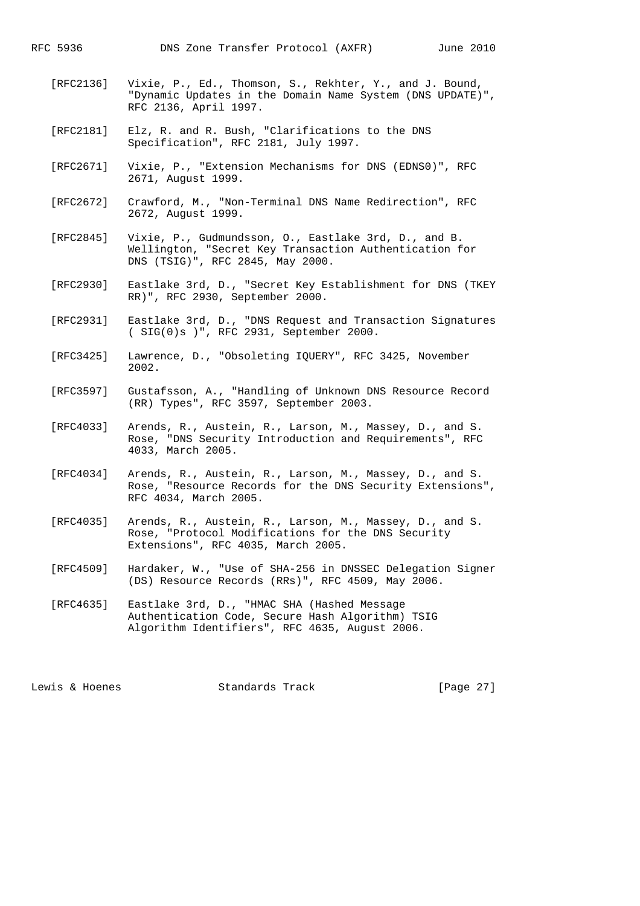- [RFC2136] Vixie, P., Ed., Thomson, S., Rekhter, Y., and J. Bound, "Dynamic Updates in the Domain Name System (DNS UPDATE)", RFC 2136, April 1997.
- [RFC2181] Elz, R. and R. Bush, "Clarifications to the DNS Specification", RFC 2181, July 1997.
- [RFC2671] Vixie, P., "Extension Mechanisms for DNS (EDNS0)", RFC 2671, August 1999.
- [RFC2672] Crawford, M., "Non-Terminal DNS Name Redirection", RFC 2672, August 1999.
- [RFC2845] Vixie, P., Gudmundsson, O., Eastlake 3rd, D., and B. Wellington, "Secret Key Transaction Authentication for DNS (TSIG)", RFC 2845, May 2000.
- [RFC2930] Eastlake 3rd, D., "Secret Key Establishment for DNS (TKEY RR)", RFC 2930, September 2000.
- [RFC2931] Eastlake 3rd, D., "DNS Request and Transaction Signatures ( SIG(0)s )", RFC 2931, September 2000.
- [RFC3425] Lawrence, D., "Obsoleting IQUERY", RFC 3425, November 2002.
- [RFC3597] Gustafsson, A., "Handling of Unknown DNS Resource Record (RR) Types", RFC 3597, September 2003.
- [RFC4033] Arends, R., Austein, R., Larson, M., Massey, D., and S. Rose, "DNS Security Introduction and Requirements", RFC 4033, March 2005.
- [RFC4034] Arends, R., Austein, R., Larson, M., Massey, D., and S. Rose, "Resource Records for the DNS Security Extensions", RFC 4034, March 2005.
- [RFC4035] Arends, R., Austein, R., Larson, M., Massey, D., and S. Rose, "Protocol Modifications for the DNS Security Extensions", RFC 4035, March 2005.
- [RFC4509] Hardaker, W., "Use of SHA-256 in DNSSEC Delegation Signer (DS) Resource Records (RRs)", RFC 4509, May 2006.
- [RFC4635] Eastlake 3rd, D., "HMAC SHA (Hashed Message Authentication Code, Secure Hash Algorithm) TSIG Algorithm Identifiers", RFC 4635, August 2006.

Lewis & Hoenes Standards Track [Page 27]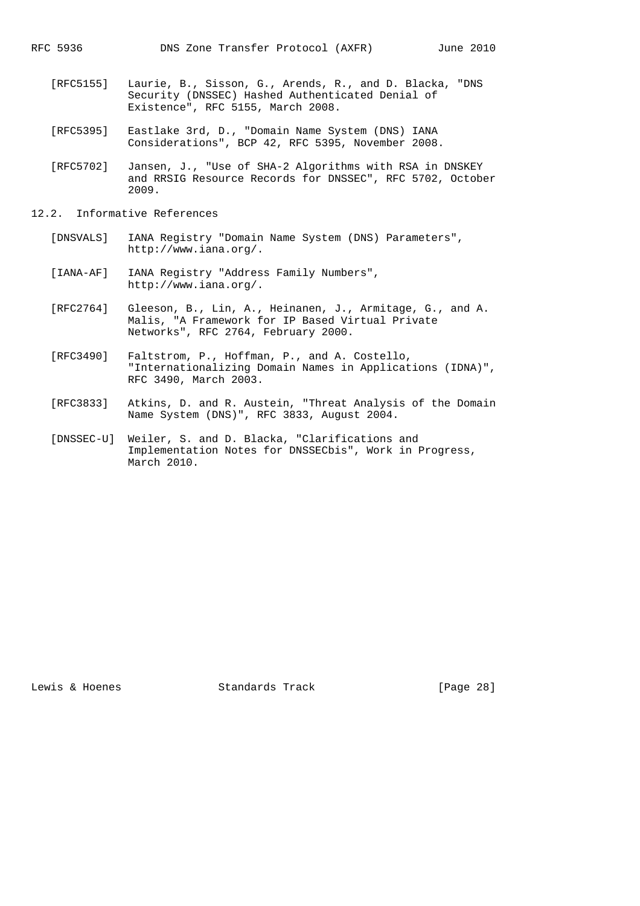- [RFC5155] Laurie, B., Sisson, G., Arends, R., and D. Blacka, "DNS Security (DNSSEC) Hashed Authenticated Denial of Existence", RFC 5155, March 2008.
- [RFC5395] Eastlake 3rd, D., "Domain Name System (DNS) IANA Considerations", BCP 42, RFC 5395, November 2008.
- [RFC5702] Jansen, J., "Use of SHA-2 Algorithms with RSA in DNSKEY and RRSIG Resource Records for DNSSEC", RFC 5702, October 2009.

## 12.2. Informative References

- [DNSVALS] IANA Registry "Domain Name System (DNS) Parameters", http://www.iana.org/.
- [IANA-AF] IANA Registry "Address Family Numbers", http://www.iana.org/.
- [RFC2764] Gleeson, B., Lin, A., Heinanen, J., Armitage, G., and A. Malis, "A Framework for IP Based Virtual Private Networks", RFC 2764, February 2000.
- [RFC3490] Faltstrom, P., Hoffman, P., and A. Costello, "Internationalizing Domain Names in Applications (IDNA)", RFC 3490, March 2003.
- [RFC3833] Atkins, D. and R. Austein, "Threat Analysis of the Domain Name System (DNS)", RFC 3833, August 2004.
- [DNSSEC-U] Weiler, S. and D. Blacka, "Clarifications and Implementation Notes for DNSSECbis", Work in Progress, March 2010.

Lewis & Hoenes Standards Track [Page 28]